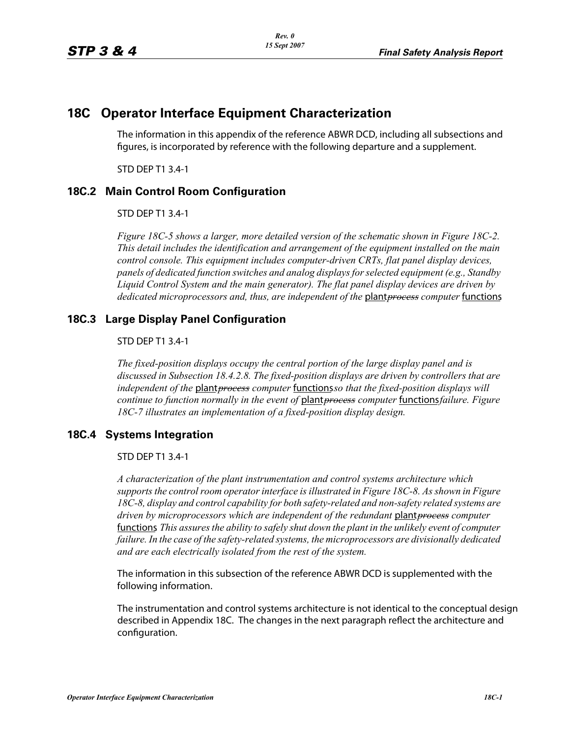# **18C Operator Interface Equipment Characterization**

The information in this appendix of the reference ABWR DCD, including all subsections and figures, is incorporated by reference with the following departure and a supplement.

STD DEP T1 3.4-1

## **18C.2 Main Control Room Configuration**

STD DEP T1 3.4-1

*Figure 18C-5 shows a larger, more detailed version of the schematic shown in Figure 18C-2. This detail includes the identification and arrangement of the equipment installed on the main control console. This equipment includes computer-driven CRTs, flat panel display devices, panels of dedicated function switches and analog displaysforselected equipment (e.g., Standby Liquid Control System and the main generator). The flat panel display devices are driven by dedicated microprocessors and, thus, are independent of the* plant*process computer* functions*.*

## **18C.3 Large Display Panel Configuration**

### STD DEP T1 3.4-1

*The fixed-position displays occupy the central portion of the large display panel and is discussed in Subsection 18.4.2.8. The fixed-position displays are driven by controllers that are independent of the* plant*process computer* functions*so that the fixed-position displays will continue to function normally in the event of* plant*process computer* functions*failure. Figure 18C-7 illustrates an implementation of a fixed-position display design.*

## **18C.4 Systems Integration**

#### STD DEP T1 3.4-1

*A characterization of the plant instrumentation and control systems architecture which supports the control room operator interface is illustrated in Figure 18C-8. As shown in Figure 18C-8, display and control capability for both safety-related and non-safety related systems are driven by microprocessors which are independent of the redundant* plant*process computer*  functions*. This assuresthe ability to safely shut down the plant in the unlikely event of computer failure. In the case of the safety-related systems, the microprocessors are divisionally dedicated and are each electrically isolated from the rest of the system.*

The information in this subsection of the reference ABWR DCD is supplemented with the following information.

The instrumentation and control systems architecture is not identical to the conceptual design described in Appendix 18C. The changes in the next paragraph reflect the architecture and configuration.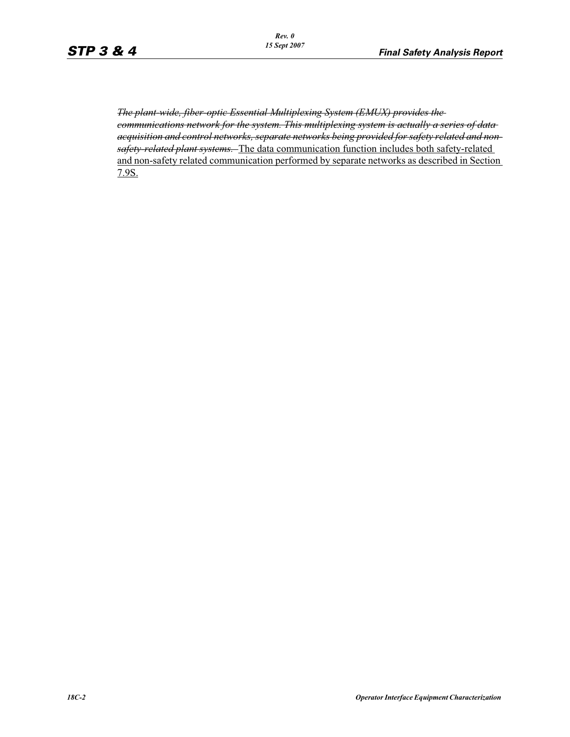*The plant-wide, fiber-optic Essential Multiplexing System (EMUX) provides the communications network for the system. This multiplexing system is actually a series of data acquisition and control networks, separate networks being provided for safety related and nonsafety-related plant systems.* The data communication function includes both safety-related and non-safety related communication performed by separate networks as described in Section 7.9S.